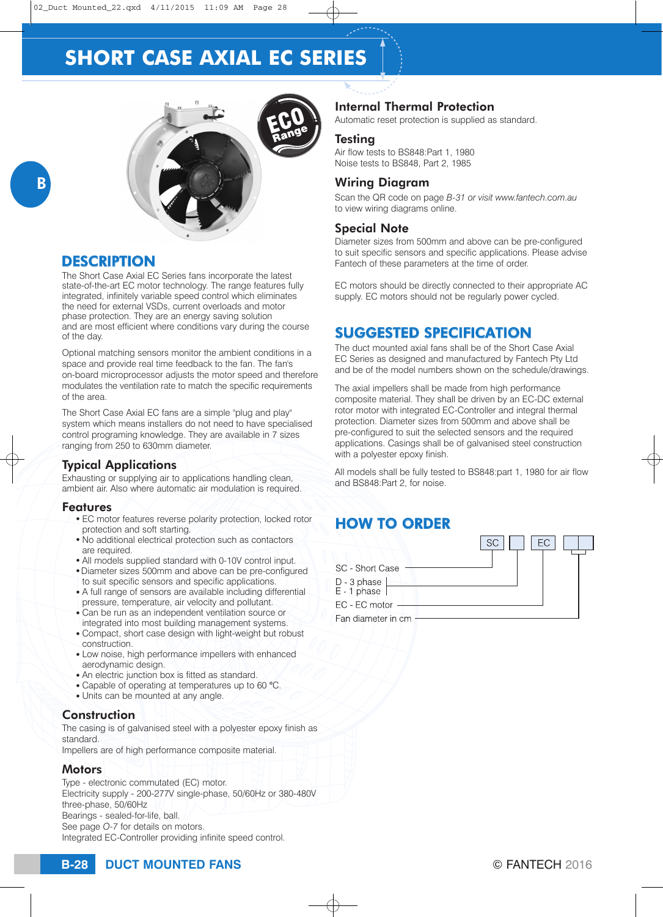

## **DESCRIPTION**

The Short Case Axial EC Series fans incorporate the latest state-of-the-art EC motor technology. The range features fully integrated, infinitely variable speed control which eliminates the need for external VSDs, current overloads and motor phase protection. They are an energy saving solution and are most efficient where conditions vary during the course of the day.

Optional matching sensors monitor the ambient conditions in a space and provide real time feedback to the fan. The fan's on-board microprocessor adjusts the motor speed and therefore modulates the ventilation rate to match the specific requirements of the area.

The Short Case Axial EC fans are a simple "plug and play" system which means installers do not need to have specialised control programing knowledge. They are available in 7 sizes ranging from 250 to 630mm diameter.

### Typical Applications

Exhausting or supplying air to applications handling clean, ambient air. Also where automatic air modulation is required.

#### Features

- EC motor features reverse polarity protection, locked rotor protection and soft starting.
- No additional electrical protection such as contactors are required.
- All models supplied standard with 0-10V control input.
- Diameter sizes 500mm and above can be pre-configured
- to suit specific sensors and specific applications. • A full range of sensors are available including differential pressure, temperature, air velocity and pollutant.
- Can be run as an independent ventilation source or
- integrated into most building management systems. • Compact, short case design with light-weight but robust construction.
- Low noise, high performance impellers with enhanced aerodynamic design.
- An electric junction box is fitted as standard.
- <sup>O</sup> Capable of operating at temperatures up to 60 **°**C.
- Units can be mounted at any angle.

#### Construction

The casing is of galvanised steel with a polyester epoxy finish as standard.

Impellers are of high performance composite material.

### **Motors**

Type - electronic commutated (EC) motor. Electricity supply - 200-277V single-phase, 50/60Hz or 380-480V three-phase, 50/60Hz Bearings - sealed-for-life, ball. See page *O-7* for details on motors. Integrated EC-Controller providing infinite speed control.

## Internal Thermal Protection

Automatic reset protection is supplied as standard.

#### **Testing**

Air flow tests to BS848:Part 1, 1980 Noise tests to BS848, Part 2, 1985

### Wiring Diagram

Scan the QR code on page *B-31 or visit [www.fantech.com.au](http://www.fantech.com.au/)* to view wiring diagrams online.

#### Special Note

Diameter sizes from 500mm and above can be pre-configured to suit specific sensors and specific applications. Please advise Fantech of these parameters at the time of order.

EC motors should be directly connected to their appropriate AC supply. EC motors should not be regularly power cycled.

## SUGGESTED SPECIFICATION

The duct mounted axial fans shall be of the Short Case Axial EC Series as designed and manufactured by Fantech Pty Ltd and be of the model numbers shown on the schedule/drawings.

The axial impellers shall be made from high performance composite material. They shall be driven by an EC-DC external rotor motor with integrated EC-Controller and integral thermal protection. Diameter sizes from 500mm and above shall be pre-configured to suit the selected sensors and the required applications. Casings shall be of galvanised steel construction with a polyester epoxy finish.

All models shall be fully tested to BS848:part 1, 1980 for air flow and BS848:Part 2, for noise.

## HOW TO ORDER

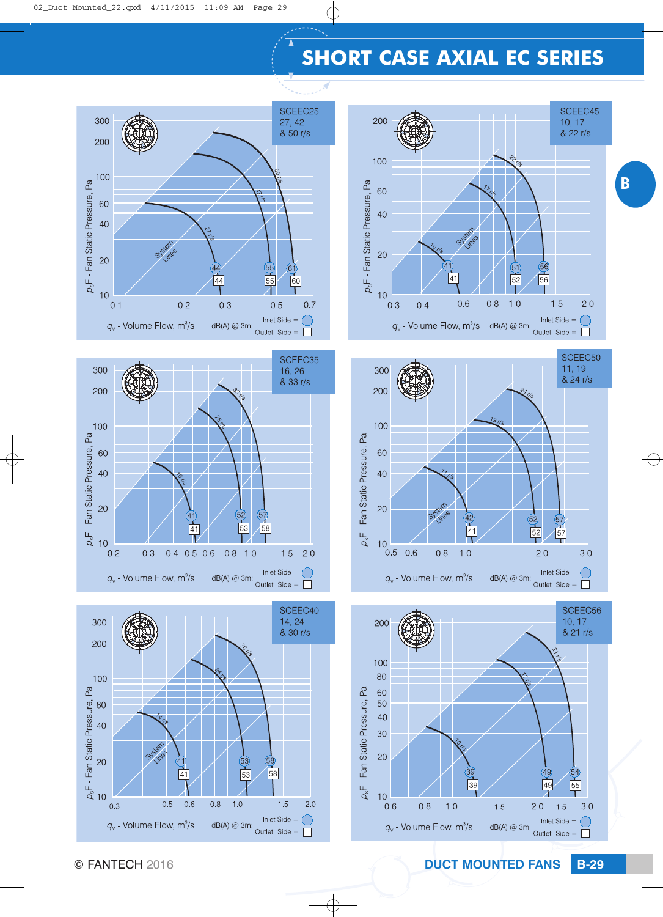

B











© FANTECH 2016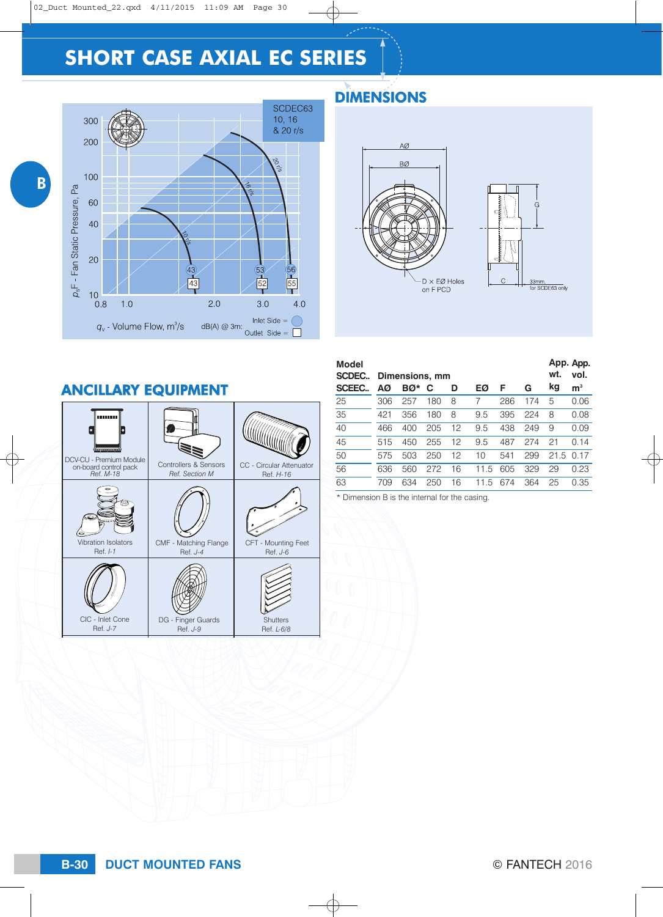

## DIMENSIONS



| <b>ANCILLARY EQUIPMENT</b>             |                                     |                                 |
|----------------------------------------|-------------------------------------|---------------------------------|
| œicœicœ<br>DCV-CU - Premium Module     | Controllers & Sensors               | CC - Circular Attenuator        |
| on-board control pack<br>Ref. M-18     | Ref. Section M                      | Ref. H-16                       |
| Vibration Isolators<br>Ref. <i>I-1</i> | CMF - Matching Flange<br>Ref. $J-4$ | CFT - Mounting Feet<br>Ref. J-6 |
| CIC - Inlet Cone<br>Ref. J-7           | DG - Finger Guards<br>Ref. J-9      | <b>Shutters</b><br>Ref. L-6/8   |

| <b>Model</b><br>SCDEC. |     | Dimensions, mm |     |    |      |     |     | App. App.<br>wt.<br>vol. |                |
|------------------------|-----|----------------|-----|----|------|-----|-----|--------------------------|----------------|
| <b>SCEEC</b>           | ΑØ  | BØ*            | C   | D  | EØ   | F   | G   | kg                       | m <sup>3</sup> |
| 25                     | 306 | 257            | 180 | 8  | 7    | 286 | 174 | 5                        | 0.06           |
| 35                     | 421 | 356            | 180 | 8  | 9.5  | 395 | 224 | 8                        | 0.08           |
| 40                     | 466 | 400            | 205 | 12 | 9.5  | 438 | 249 | 9                        | 0.09           |
| 45                     | 515 | 450            | 255 | 12 | 9.5  | 487 | 274 | 21                       | 0.14           |
| 50                     | 575 | 503            | 250 | 12 | 10   | 541 | 299 | 21.5                     | 0.17           |
| 56                     | 636 | 560            | 272 | 16 | 11.5 | 605 | 329 | 29                       | 0.23           |
| 63                     | 709 | 634            | 250 | 16 | 11.5 | 674 | 364 | 25                       | 0.35           |

\* Dimension B is the internal for the casing.